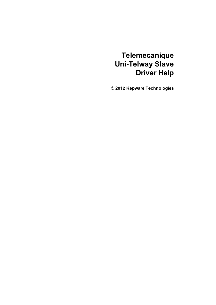# **Telemecanique Uni-Telway Slave Driver Help**

**© 2012 Kepware Technologies**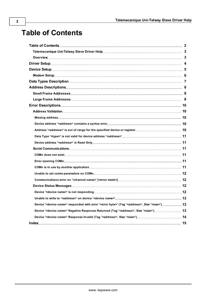# <span id="page-1-0"></span>**Table of Contents**

| Device ' <device name="">' responded with error '<error byte="">' (Tag '<address>', Size '<size>') 13</size></address></error></device> |  |
|-----------------------------------------------------------------------------------------------------------------------------------------|--|
| Device ' <device name="">' Negative Response Returned (Tag '<address>', Size '<size>') 13</size></address></device>                     |  |
|                                                                                                                                         |  |
|                                                                                                                                         |  |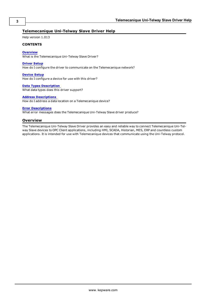### <span id="page-2-0"></span>**Telemecanique Uni-Telway Slave Driver Help**

Help version 1.013

#### **CONTENTS**

#### **[Overview](#page-2-1)**

What is the Telemecanique Uni-Telway Slave Driver?

#### **[Driver](#page-3-0) [Setup](#page-3-0)**

How do I configure the driver to communicate on the Telemecanique network?

### **[Device](#page-4-0) [Setup](#page-4-0)**

How do I configure a device for use with this driver?

#### **[Data](#page-6-0) [Types](#page-6-0) [Description](#page-6-0)** What data types does this driver support?

#### **[Address](#page-7-0) [Descriptions](#page-7-0)**

How do I address a data location on a Telemecanique device?

#### **[Error](#page-9-0) [Descriptions](#page-9-0)**

<span id="page-2-1"></span>What error messages does the Telemecanique Uni-Telway Slave driver produce?

#### **Overview**

The Telemecanique Uni-Telway Slave Driver provides an easy and reliable way to connect Telemecanique Uni-Telway Slave devices to OPC Client applications, including HMI, SCADA, Historian, MES, ERP and countless custom applications. It is intended for use with Telemecanique devices that communicate using the Uni-Telway protocol.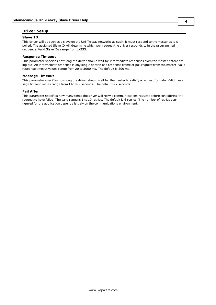### <span id="page-3-0"></span>**Driver Setup**

#### **Slave ID**

This driver will be seen as a slave on the Uni-Telway network; as such, it must respond to the master as it is polled. The assigned Slave ID will determine which poll request the driver responds to in the programmed sequence. Valid Slave IDs range from 1-253.

#### **Response Timeout**

This parameter specifies how long the driver should wait for intermediate responses from the master before timing out. An intermediate response is any single portion of a response frame or poll request from the master. Valid response timeout values range from 20 to 3000 ms. The default is 500 ms.

#### **Message Timeout**

This parameter specifies how long the driver should wait for the master to satisfy a request for data. Valid message timeout values range from 1 to 999 seconds. The default is 2 seconds.

#### **Fail After**

This parameter specifies how many times the driver will retry a communications request before considering the request to have failed. The valid range is 1 to 10 retries. The default is 6 retries. The number of retries configured for the application depends largely on the communications environment.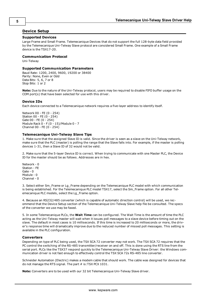### <span id="page-4-0"></span>**Device Setup**

#### <span id="page-4-2"></span>**Supported Devices**

Large Frame and Small Frame. Telemecanique Devices that do not support the full 128-byte data field provided by the Telemecanique Uni-Telway Slave protocol are considered Small Frame. One example of a Small Frame device is the TSX17-20.

#### **Communication Protocol**

Uni-Telway

#### **Supported Communication Parameters**

Baud Rate: 1200, 2400, 9600, 19200 or 38400 Parity: None, Even or Odd Data Bits: 5, 6, 7 or 8 Stop Bits: 1 or 2

**Note:** Due to the nature of the Uni-Telway protocol, users may be required to disable FIFO buffer usage on the COM port(s) that have been selected for use with this driver.

#### <span id="page-4-3"></span><span id="page-4-1"></span>**Device IDs**

Each device connected to a Telemecanique network requires a five-layer address to identify itself.

Network 00 - FE (0 - 254) Station 00 - FE (0 - 254) Gate 00 - FE (0 - 254) Module Rack 0 - F (0 - 15)/Module 0 - 7 Channel 00 - FE (0 - 254)

#### **Telemecanique Uni-Telway Slave Tips**

1. Make sure that the assigned Slave ID is valid. Since the driver is seen as a slave on the Uni-Telway network, make sure that the PLC (master) is polling the range that the Slave falls into. For example, if the master is polling devices 1-31, then a Slave ID of 32 would not be valid.

2. Make sure that the 5-layer Device ID is correct. When trying to communicate with one Master PLC, the Device ID for the master should be as follows. Addresses are in hex.

Network - 0 Station - FE Gate - 0 Module - 0 Channel - 0

3. Select either Sm\_Frame or Lg\_Frame depending on the Telemecanique PLC model with which communication is being established. For the Telemecanique PLC model TSX17, select the Sm\_Frame option. For all other Telemecanique PLC models, select the Lg\_Frame option.

4. Because an RS232/485 converter (which is capable of automatic direction control) will be used, we recommend that the Device Setup section of the Telemecanique Uni-Telway Slave help file be consulted. The specs of the converter we use may be faxed.

5. In some Telemecanique PLCs, the **Wait Time** can be configured. The Wait Time is the amount of time the PLC acting as the Uni-Telway master will wait when it issues poll messages to a slave device before timing out on the slave. The default in most cases is 10 milliseconds. If this time is increased to 20 milliseconds or more, the driver's response time will dramatically improve due to the reduced number of missed poll messages. This setting is available in the PLC configuration.

#### **Converters**

Depending on type of PLC being used, the TSX SCA 72 converter may not work. The TSX SCA 72 requires that the PC control the switching of the RS-485 transmitter/receiver on and off. This is done using the RTS line from the serial port. PLCs like the TSX37 respond quickly to the Telemecanique Uni-Telway Slave Driver: the Windows communication driver is not fast enough to effectively control the TSX SCA 72s RS-485 line converter.

Schneider Automation (Electric) makes a modem cable that should work. The cable was designed for devices that do not manage the RTS signal. The part # is: TSX PCX 1031.

**Note:** Converters are to be used with our 32 bit Telemecanique Uni-Telway Slave driver.

**5**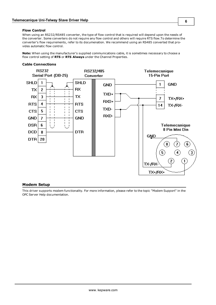#### **Flow Control**

When using an RS232/RS485 converter, the type of flow control that is required will depend upon the needs of the converter. Some converters do not require any flow control and others will require RTS flow.To determine the converter's flow requirements, refer to its documenation. We recommend using an RS485 converted that provides automatic flow control.

**Note:** When using the manufacturer's supplied communications cable, it is sometimes necessary to choose a flow control setting of **RTS** or **RTS Always** under the Channel Properties.

### <span id="page-5-1"></span>**Cable Connections**



#### <span id="page-5-0"></span>**Modem Setup**

This driver supports modem functionality. For more information, please refer to the topic "Modem Support" in the OPC Server Help documentation.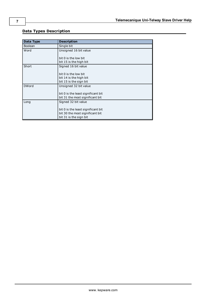<span id="page-6-5"></span><span id="page-6-4"></span><span id="page-6-3"></span><span id="page-6-2"></span><span id="page-6-1"></span>

| Data Type      | <b>Description</b>                 |
|----------------|------------------------------------|
|                |                                    |
| <b>Boolean</b> | Single bit                         |
| Word           | Unsigned 16 bit value              |
|                |                                    |
|                | bit 0 is the low bit               |
|                | bit 15 is the high bit             |
| Short          | Signed 16 bit value                |
|                |                                    |
|                | bit 0 is the low bit               |
|                | bit 14 is the high bit             |
|                | bit 15 is the sign bit             |
| <b>DWord</b>   | Unsigned 32 bit value              |
|                |                                    |
|                | bit 0 is the least significant bit |
|                | bit 31 the most significant bit    |
| Long           | Signed 32 bit value                |
|                |                                    |
|                | bit 0 is the least significant bit |
|                | bit 30 the most significant bit    |
|                | bit 31 is the sign bit             |

## <span id="page-6-0"></span>**Data Types Description**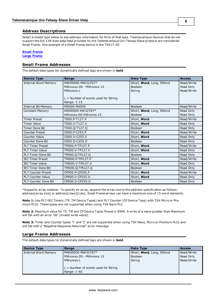### <span id="page-7-0"></span>**Address Descriptions**

Select a model type below to see address information for PLCs of that type. Telemecanique Devices that do not support the full 128-byte data field provided by the Telemecanique Uni-Telway Slave protocol are considered Small Frame. One example of a Small Frame device is the TSX17-20.

#### **[Small](#page-7-1) [Frame](#page-7-1)**

### <span id="page-7-1"></span>**[Large](#page-7-2) [Frame](#page-7-2)**

### **Small Frame Addresses**

The default data types for dynamically defined tags are shown in **bold** .

| <b>Device Type</b>          | Range                                 | <b>Data Type</b>         | <b>Access</b> |
|-----------------------------|---------------------------------------|--------------------------|---------------|
| <b>Internal Word Memory</b> | MW00000-MW32767*                      | Short, Word, Long, DWord | Read/Write    |
|                             | MWxxxxx.00 - MWxxxxx.15               | <b>Boolean</b>           | Read Only     |
|                             | MWxxxxx.L                             | String                   | Read/Write    |
|                             |                                       |                          |               |
|                             | $L =$ Number of words used for String |                          |               |
|                             | Range: 1-15                           |                          |               |
| <b>Internal Bit Memory</b>  | M0000-M4095                           | Boolean                  | Read/Write    |
| <b>Constant Memory</b>      | KW00000-KW32767*                      | Short, Word, Long, DWord | Read Only     |
|                             | KW xxxxx, 00-KW xxxxx, 15             | Boolean                  | Read Only     |
| <b>Timer Preset</b>         | T000.P-T127.P                         | Short, Word              | Read/Write    |
| <b>Timer Value</b>          | T000.V-T127.V                         | Short, Word              | Read Only     |
| <b>Timer Done Bit</b>       | T000.Q-T127.Q                         | Boolean                  | Read Only     |
| <b>Counter Preset</b>       | C000.P-C255.P                         | Short, Word              | Read/Write    |
| <b>Counter Value</b>        | C000.V-C255.V                         | Short, Word              | Read Only     |
| Counter Done Bit            | C000.D-C255.D                         | <b>Boolean</b>           | Read Only     |
| <b>PL7 Timer Preset</b>     | TP000.P-TP127.P                       | Short, Word              | Read/Write    |
| <b>PL7 Timer Value</b>      | TP000.V-TP127.V                       | Short, Word              | Read Only     |
| PL7 Timer Done Bit          | TP000.Q-TP127.Q                       | Boolean                  | Read Only     |
| <b>IEC Timer Preset</b>     | TM000.P-TM127.P                       | Short, Word              | Read/Write    |
| <b>IEC Timer Value</b>      | TM000.V-TM127.V                       | Short, Word              | Read Only     |
| <b>IEC Timer Done Bit</b>   | TM000.Q-TM127.Q                       | Boolean                  | Read Only     |
| <b>PL7 Counter Preset</b>   | CP000.P-CP255.P                       | Short, Word              | Read/Write    |
| <b>PL7 Counter Value</b>    | CP000.V-CP255.V                       | Short, Word              | Read Only     |
| PL7 Counter Done Bit        | CP000.D-CP255.D                       | Boolean                  | Read Only     |

<span id="page-7-3"></span>\*Supports array notation. To specify an array, append the array size to the address specification as follows: address[array size] or address[rows][cols]. Small Frame arrays can have a maximum size of 15 word elements.

**Note 1:** Use PL7/IEC Timers (TP, TM Device Types) and PL7 Counter (CP Device Type) with TSX Micro or Premium PLCs. These types are not supported when using TSX Nano PLC.

**Note 2:** Maximum value for TP, TM and CP Device Types Preset is 9999. A write of a value greater than Maximum will fail with an error '06' (invalid write value).

**Note 3:** Timer and Counter types 'T' and 'C' are not supported when using TSX Nano, Micro or Premium PLCs and will fail with a "Negative Response Returned" error message.

#### <span id="page-7-2"></span>**Large Frame Addresses**

The default data types for dynamically defined tags are shown in **bold**.

| <b>Device Type</b>   | Range                                                                                                              | Data Type                                            | <b>Access</b>                         |
|----------------------|--------------------------------------------------------------------------------------------------------------------|------------------------------------------------------|---------------------------------------|
| Internal Word Memory | l MW00000-MW32767*<br>MWXXXXX.00 - MWXXXXX.15<br>MWxxxxx.L<br>$L =$ Number of words used for String<br>Range: 1-60 | Short, Word, Long, DWord<br><b>Boolean</b><br>String | Read/Write<br>Read Only<br>Read/Write |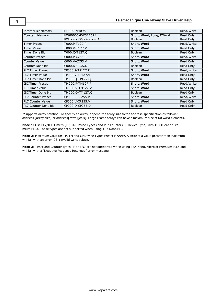| <b>Internal Bit Memory</b> | M0000-M4095             | Boolean                  | Read/Write |
|----------------------------|-------------------------|--------------------------|------------|
| <b>Constant Memory</b>     | KW00000-KW32767*        | Short, Word, Long, DWord | Read Only  |
|                            | KW xxxxx.00-KW xxxxx.15 | <b>Boolean</b>           | Read Only  |
| Timer Preset               | T000.P-T127.P           | Short, Word              | Read/Write |
| Timer Value                | T000.V-T127.V           | Short, Word              | Read Only  |
| Timer Done Bit             | T000.Q-T127.Q           | Boolean                  | Read Only  |
| <b>Counter Preset</b>      | C000.P-C255.P           | Short, Word              | Read/Write |
| Counter Value              | C000.V-C255.V           | Short, Word              | Read Only  |
| Counter Done Bit           | C000.D-C255.D           | Boolean                  | Read Only  |
| <b>PL7 Timer Preset</b>    | TP000.P-TP127.P         | Short, Word              | Read/Write |
| <b>PL7 Timer Value</b>     | TP000.V-TP127.V         | Short, Word              | Read Only  |
| PL7 Timer Done Bit         | TP000.Q-TP127.Q         | Boolean                  | Read Only  |
| <b>IEC Timer Preset</b>    | TM000.P-TM127.P         | Short, Word              | Read/Write |
| <b>IEC Timer Value</b>     | TM000.V-TM127.V         | Short, Word              | Read Only  |
| <b>IEC Timer Done Bit</b>  | TM000.Q-TM127.Q         | <b>Boolean</b>           | Read Only  |
| <b>PL7 Counter Preset</b>  | CP000.P-CP255.P         | Short, Word              | Read/Write |
| <b>PL7 Counter Value</b>   | CP000.V-CP255.V         | Short, Word              | Read Only  |
| PL7 Counter Done Bit       | CP000.D-CP255.D         | Boolean                  | Read Only  |

\*Supports array notation. To specify an array, append the array size to the address specification as follows: address [array size] or address[rows][cols]. Large Frame arrays can have a maximum size of 60 word elements.

**Note 1:** Use PL7/IEC Timers (TP, TM Device Types) and PL7 Counter (CP Device Type) with TSX Micro or Premium PLCs. These types are not supported when using TSX Nano PLC.

**Note 2:** Maximum value for TP, TM and CP Device Types Preset is 9999. A write of a value greater than Maximum will fail with an error '06' (invalid write value).

**Note 3:** Timer and Counter types 'T' and 'C' are not supported when using TSX Nano, Micro or Premium PLCs and will fail with a "Negative Response Returned" error message.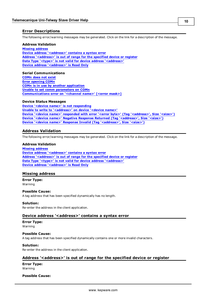### <span id="page-9-0"></span>**Error Descriptions**

The following error/warning messages may be generated. Click on the link for a description of the message.

#### **Address Validation**

**[Missing](#page-9-2) [address](#page-9-2) [Device](#page-9-3) [address](#page-9-3) ['<address>'](#page-9-3) [contains](#page-9-3) [a](#page-9-3) [syntax](#page-9-3) [error](#page-9-3) [Address](#page-9-4) ['<address>'](#page-9-4) [is](#page-9-4) [out](#page-9-4) [of](#page-9-4) [range](#page-9-4) [for](#page-9-4) [the](#page-9-4) [specified](#page-9-4) [device](#page-9-4) [or](#page-9-4) [register](#page-9-4) [Data](#page-10-0) [Type](#page-10-0) ['<type>'](#page-10-0) [is](#page-10-0) [not](#page-10-0) [valid](#page-10-0) [for](#page-10-0) [device](#page-10-0) [address](#page-10-0) ['<address>'](#page-10-0) [Device](#page-10-1) [address](#page-10-1) ['<address>'](#page-10-1) [is](#page-10-1) [Read](#page-10-1) [Only](#page-10-1)** 

#### **Serial Communications**

**[COMn](#page-10-3) [does](#page-10-3) [not](#page-10-3) [exist](#page-10-3) [Error](#page-10-4) [opening](#page-10-4) [COMn](#page-10-4) [COMn](#page-10-5) [is](#page-10-5) [in](#page-10-5) [use](#page-10-5) [by](#page-10-5) [another](#page-10-5) [application](#page-10-5) [Unable](#page-11-0) [to](#page-11-0) [set](#page-11-0) [comm](#page-11-0) [parameters](#page-11-0) [on](#page-11-0) [COMn](#page-11-0) [Communications](#page-11-1) [error](#page-11-1) [on](#page-11-1) ['<channel](#page-11-1) [name>'](#page-11-1) [\[<error](#page-11-1) [mask>\]](#page-11-1)**

#### **Device Status Messages**

**[Device](#page-11-3) ['<device](#page-11-3) [name>'](#page-11-3) [is](#page-11-3) [not](#page-11-3) [responding](#page-11-3) [Unable](#page-12-0) [to](#page-12-0) [write](#page-12-0) [to](#page-12-0) ['<address>'](#page-12-0) [on](#page-12-0) [device](#page-12-0) ['<device](#page-12-0) [name>'](#page-12-0) [Device](#page-12-1) ['<device](#page-12-1) [name>'](#page-12-1) [responded](#page-12-1) [with](#page-12-1) [error](#page-12-1) ['<error](#page-12-1) [byte>'](#page-12-1) [\(Tag](#page-12-1) ['<address>',](#page-12-1) [Size](#page-12-1) ['<size>'\)](#page-12-1) [Device](#page-12-2) ['<device](#page-12-2) [name>'](#page-12-2) [Negative](#page-12-2) [Response](#page-12-2) [Returned](#page-12-2) [\(Tag](#page-12-2) ['<address>',](#page-12-2) [Size](#page-12-2) ['<size>'\)](#page-12-2) [Device](#page-13-0) ['<device](#page-13-0) [name>'](#page-13-0) [Response](#page-13-0) [Invalid](#page-13-0) [\(Tag](#page-13-0) ['<address>',](#page-13-0) [Size](#page-13-0) ['<size>'\)](#page-13-0)**

#### <span id="page-9-1"></span>**Address Validation**

The following error/warning messages may be generated. Click on the link for a description of the message.

#### **Address Validation**

**[Missing](#page-9-2) [address](#page-9-2) [Device](#page-9-3) [address](#page-9-3) ['<address>'](#page-9-3) [contains](#page-9-3) [a](#page-9-3) [syntax](#page-9-3) [error](#page-9-3) [Address](#page-9-4) ['<address>'](#page-9-4) [is](#page-9-4) [out](#page-9-4) [of](#page-9-4) [range](#page-9-4) [for](#page-9-4) [the](#page-9-4) [specified](#page-9-4) [device](#page-9-4) [or](#page-9-4) [register](#page-9-4) [Data](#page-10-0) [Type](#page-10-0) ['<type>'](#page-10-0) [is](#page-10-0) [not](#page-10-0) [valid](#page-10-0) [for](#page-10-0) [device](#page-10-0) [address](#page-10-0) ['<address>'](#page-10-0) [Device](#page-10-1) [address](#page-10-1) ['<address>'](#page-10-1) [is](#page-10-1) [Read](#page-10-1) [Only](#page-10-1)** 

#### <span id="page-9-2"></span>**Missing address**

**Error Type:** Warning

#### **Possible Cause:**

A tag address that has been specified dynamically has no length.

#### **Solution:**

<span id="page-9-3"></span>Re-enter the address in the client application.

#### Device address '<address>' contains a syntax error

## **Error Type:**

Warning

#### **Possible Cause:**

A tag address that has been specified dynamically contains one or more invalid characters.

#### **Solution:**

<span id="page-9-4"></span>Re-enter the address in the client application.

### **Address '<address>' is out of range for the specified device or register**

#### **Error Type:** Warning

### **Possible Cause:**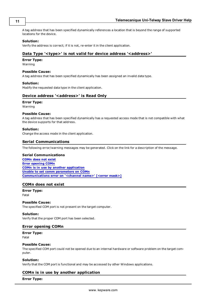A tag address that has been specified dynamically references a location that is beyond the range of supported locations for the device.

#### **Solution:**

<span id="page-10-0"></span>Verify the address is correct; if it is not, re-enter it in the client application.

### Data Type '<type>' is not valid for device address '<address>'

#### **Error Type:**

Warning

#### **Possible Cause:**

A tag address that has been specified dynamically has been assigned an invalid data type.

#### **Solution:**

<span id="page-10-1"></span>Modify the requested data type in the client application.

#### Device address '<address>' is Read Only

#### **Error Type:**

Warning

#### **Possible Cause:**

A tag address that has been specified dynamically has a requested access mode that is not compatible with what the device supports for that address.

#### **Solution:**

<span id="page-10-2"></span>Change the access mode in the client application.

#### **Serial Communications**

The following error/warning messages may be generated. Click on the link for a description of the message.

#### **Serial Communications**

**[COMn](#page-10-3) [does](#page-10-3) [not](#page-10-3) [exist](#page-10-3) [Error](#page-10-4) [opening](#page-10-4) [COMn](#page-10-4) [COMn](#page-10-5) [is](#page-10-5) [in](#page-10-5) [use](#page-10-5) [by](#page-10-5) [another](#page-10-5) [application](#page-10-5) [Unable](#page-11-0) [to](#page-11-0) [set](#page-11-0) [comm](#page-11-0) [parameters](#page-11-0) [on](#page-11-0) [COMn](#page-11-0) [Communications](#page-11-1) [error](#page-11-1) [on](#page-11-1) ['<channel](#page-11-1) [name>'](#page-11-1) [\[<error](#page-11-1) [mask>\]](#page-11-1)**

#### <span id="page-10-3"></span>**COMn does not exist**

## **Error Type:**

Fatal

### **Possible Cause:**

The specified COM port is not present on the target computer.

#### **Solution:**

<span id="page-10-4"></span>Verify that the proper COM port has been selected.

#### **Error opening COMn**

**Error Type:** Fatal

#### **Possible Cause:**

The specified COM port could not be opened due to an internal hardware or software problem on the target computer.

#### **Solution:**

<span id="page-10-5"></span>Verify that the COM port is functional and may be accessed by other Windows applications.

#### **COMn is in use by another application**

**Error Type:**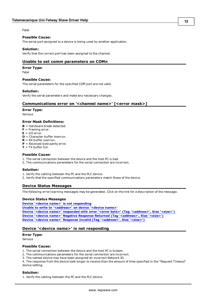Fatal

#### **Possible Cause:**

The serial port assigned to a device is being used by another application.

#### **Solution:**

<span id="page-11-0"></span>Verify that the correct port has been assigned to the channel.

#### **Unable to set comm parameters on COMn**

#### **Error Type:**

Fatal

#### **Possible Cause:**

The serial parameters for the specified COM port are not valid.

#### **Solution:**

<span id="page-11-1"></span>Verify the serial parameters and make any necessary changes.

#### **Communications error on '<channel name>' [<error mask>]**

#### **Error Type:**

Serious

#### **Error Mask Definitions:**

- <span id="page-11-4"></span>**B** = Hardware break detected.
- **F** = Framing error.
- <span id="page-11-5"></span> $E = I/O$  error.
- **O** = Character buffer overrun.
- <span id="page-11-6"></span>**R** = RX buffer overrun.
- **P** = Received byte parity error.
- **T** = TX buffer full.

#### **Possible Cause:**

- 1. The serial connection between the device and the host PC is bad.
- 2. The communications parameters for the serial connection are incorrect.

#### **Solution:**

- 1. Verify the cabling between the PC and the PLC device.
- <span id="page-11-2"></span>2. Verify that the specified communications parameters match those of the device.

### **Device Status Messages**

The following error/warning messages may be generated. Click on the link for a description of the message.

#### **Device Status Messages**

**[Device](#page-11-3) ['<device](#page-11-3) [name>'](#page-11-3) [is](#page-11-3) [not](#page-11-3) [responding](#page-11-3)**

**[Unable](#page-12-0) [to](#page-12-0) [write](#page-12-0) [to](#page-12-0) ['<address>'](#page-12-0) [on](#page-12-0) [device](#page-12-0) ['<device](#page-12-0) [name>'](#page-12-0)**

**[Device](#page-12-1) ['<device](#page-12-1) [name>'](#page-12-1) [responded](#page-12-1) [with](#page-12-1) [error](#page-12-1) ['<error](#page-12-1) [byte>'](#page-12-1) [\(Tag](#page-12-1) ['<address>',](#page-12-1) [Size](#page-12-1) ['<size>'\)](#page-12-1) [Device](#page-12-2) ['<device](#page-12-2) [name>'](#page-12-2) [Negative](#page-12-2) [Response](#page-12-2) [Returned](#page-12-2) [\(Tag](#page-12-2) ['<address>',](#page-12-2) [Size](#page-12-2) ['<size>'\)](#page-12-2) [Device](#page-13-0) ['<device](#page-13-0) [name>'](#page-13-0) [Response](#page-13-0) [Invalid](#page-13-0) [\(Tag](#page-13-0) ['<address>',](#page-13-0) [Size](#page-13-0) ['<size>'\)](#page-13-0)**

#### <span id="page-11-3"></span>**Device '<device name>' is not responding**

#### **Error Type:**

Serious

#### **Possible Cause:**

1. The serial connection between the device and the host PC is broken.

2. The communications parameters for the serial connection are incorrect.

3. The named device may have been assigned an incorrect Network ID.

4. The response from the device took longer to receive than the amount of time specified in the "Request Timeout" device setting.

#### **Solution:**

1. Verify the cabling between the PC and the PLC device.

**12**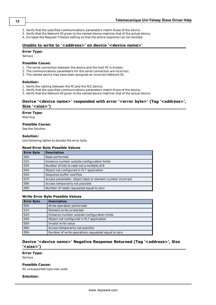- 2. Verify that the specified communications parameters match those of the device.
- 3. Verify that the Network ID given to the named device matches that of the actual device.

<span id="page-12-0"></span>4. Increase the Request Timeout setting so that the entire response can be handled.

#### Unable to write to '<address>' on device '<device name>'

#### **Error Type:**

Serious

#### **Possible Cause:**

- 1. The serial connection between the device and the host PC is broken.
- 2. The communications parameters for the serial connection are incorrect.
- 3. The named device may have been assigned an incorrect Network ID.

#### **Solution:**

- 1. Verify the cabling between the PC and the PLC device.
- 2. Verify that the specified communications parameters match those of the device.
- <span id="page-12-1"></span>3. Verify that the Network ID given to the named device matches that of the actual device.

### Device '<device name>' responded with error '<error byte>' (Tag '<address>', **Size '<size>')**

#### **Error Type:**

Warning

#### **Possible Cause:**

See the Solution.

#### **Solution:**

Use following tables to decode the error byte.

#### **Read Error Byte Possible Values**

| <b>Error Byte</b> | <b>Description</b>                                         |
|-------------------|------------------------------------------------------------|
| 00h               | Read performed                                             |
| 02h               | Instance number outside configuration limits               |
| 03h               | Number of bits to read not a multiple of 8                 |
| 04h               | Object not configured in PL7 application                   |
| 05h               | Response buffer overflow                                   |
| 07h               | Access parameter, object label or element number incorrect |
| 08h               | Access temporarily not possible                            |
| 09h               | Number of reads requested equal to zero                    |

#### **Write Error Byte Possible Values**

| <b>Error Byte</b> | <b>Description</b>                                 |
|-------------------|----------------------------------------------------|
| 00h               | Write operation performed                          |
| 01h               | Element write-protected                            |
| 02h               | Instance number outside configuration limits       |
| 04h               | Object not configured in PL7 application           |
| 06h               | Invalid write value                                |
| 08h               | Access temporarily not possible                    |
| 09h               | Number of write operations requested equal to zero |

### <span id="page-12-2"></span>Device '<device name>' Negative Response Returned (Tag '<address>', Size **'<size>')**

#### **Error Type:**

Serious

#### **Possible Cause:**

An unsupported type was used.

#### **Solution:**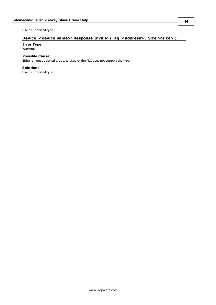<span id="page-13-0"></span>Use a supported type.

## Device '<device name>' Response Invalid (Tag '<address>', Size '<size>')

## **Error Type:**

Warning

### **Possible Cause:**

Either an unsupported type was used or the PLC does not support the type.

### **Solution:**

Use a supported type.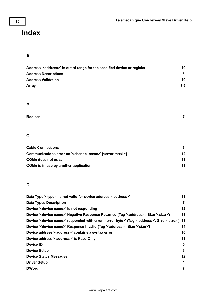# <span id="page-14-0"></span>**Index**

## **A**

## **B**

## **C**

## **D**

| Device ' <device name="">' Negative Response Returned (Tag '<address>', Size '<size>') 13</size></address></device>                     |  |
|-----------------------------------------------------------------------------------------------------------------------------------------|--|
| Device ' <device name="">' responded with error '<error byte="">' (Tag '<address>', Size '<size>') 13</size></address></error></device> |  |
| Device ' <device name="">' Response Invalid (Tag '<address>', Size '<size>') 14</size></address></device>                               |  |
|                                                                                                                                         |  |
|                                                                                                                                         |  |
|                                                                                                                                         |  |
|                                                                                                                                         |  |
|                                                                                                                                         |  |
|                                                                                                                                         |  |
|                                                                                                                                         |  |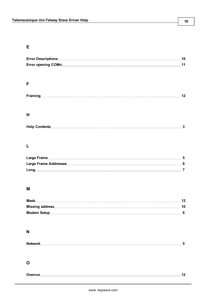## **E**

## **F**

## **H**

|--|

## **L**

## **M**

## **N**

## **O**